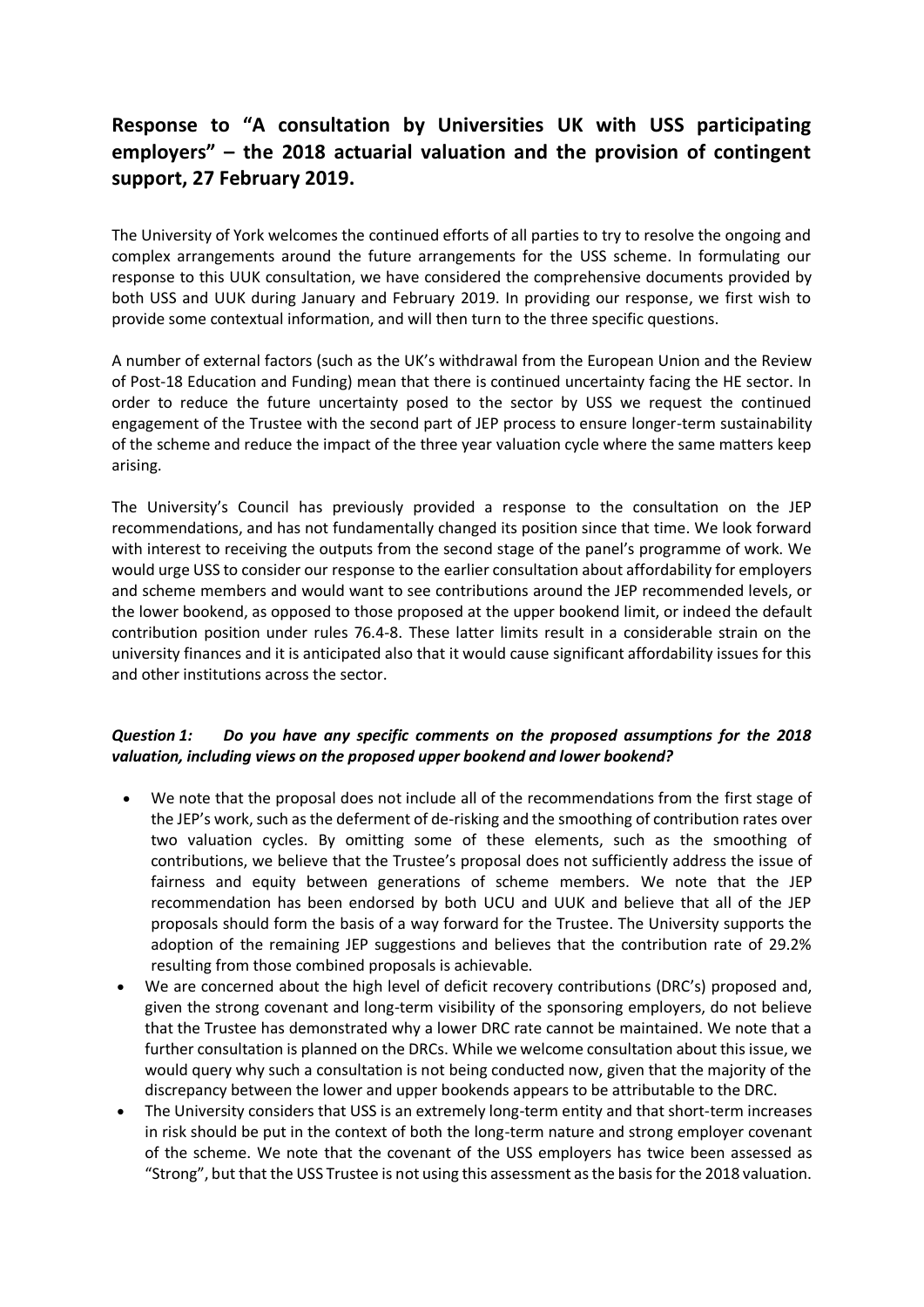## **Response to "A consultation by Universities UK with USS participating employers" – the 2018 actuarial valuation and the provision of contingent support, 27 February 2019.**

The University of York welcomes the continued efforts of all parties to try to resolve the ongoing and complex arrangements around the future arrangements for the USS scheme. In formulating our response to this UUK consultation, we have considered the comprehensive documents provided by both USS and UUK during January and February 2019. In providing our response, we first wish to provide some contextual information, and will then turn to the three specific questions.

A number of external factors (such as the UK's withdrawal from the European Union and the Review of Post-18 Education and Funding) mean that there is continued uncertainty facing the HE sector. In order to reduce the future uncertainty posed to the sector by USS we request the continued engagement of the Trustee with the second part of JEP process to ensure longer-term sustainability of the scheme and reduce the impact of the three year valuation cycle where the same matters keep arising.

The University's Council has previously provided a response to the consultation on the JEP recommendations, and has not fundamentally changed its position since that time. We look forward with interest to receiving the outputs from the second stage of the panel's programme of work. We would urge USS to consider our response to the earlier consultation about affordability for employers and scheme members and would want to see contributions around the JEP recommended levels, or the lower bookend, as opposed to those proposed at the upper bookend limit, or indeed the default contribution position under rules 76.4-8. These latter limits result in a considerable strain on the university finances and it is anticipated also that it would cause significant affordability issues for this and other institutions across the sector.

## *Question 1: Do you have any specific comments on the proposed assumptions for the 2018 valuation, including views on the proposed upper bookend and lower bookend?*

- We note that the proposal does not include all of the recommendations from the first stage of the JEP's work, such as the deferment of de-risking and the smoothing of contribution rates over two valuation cycles. By omitting some of these elements, such as the smoothing of contributions, we believe that the Trustee's proposal does not sufficiently address the issue of fairness and equity between generations of scheme members. We note that the JEP recommendation has been endorsed by both UCU and UUK and believe that all of the JEP proposals should form the basis of a way forward for the Trustee. The University supports the adoption of the remaining JEP suggestions and believes that the contribution rate of 29.2% resulting from those combined proposals is achievable.
- We are concerned about the high level of deficit recovery contributions (DRC's) proposed and, given the strong covenant and long-term visibility of the sponsoring employers, do not believe that the Trustee has demonstrated why a lower DRC rate cannot be maintained. We note that a further consultation is planned on the DRCs. While we welcome consultation about this issue, we would query why such a consultation is not being conducted now, given that the majority of the discrepancy between the lower and upper bookends appears to be attributable to the DRC.
- The University considers that USS is an extremely long-term entity and that short-term increases in risk should be put in the context of both the long-term nature and strong employer covenant of the scheme. We note that the covenant of the USS employers has twice been assessed as "Strong", but that the USS Trustee is not using this assessment as the basis for the 2018 valuation.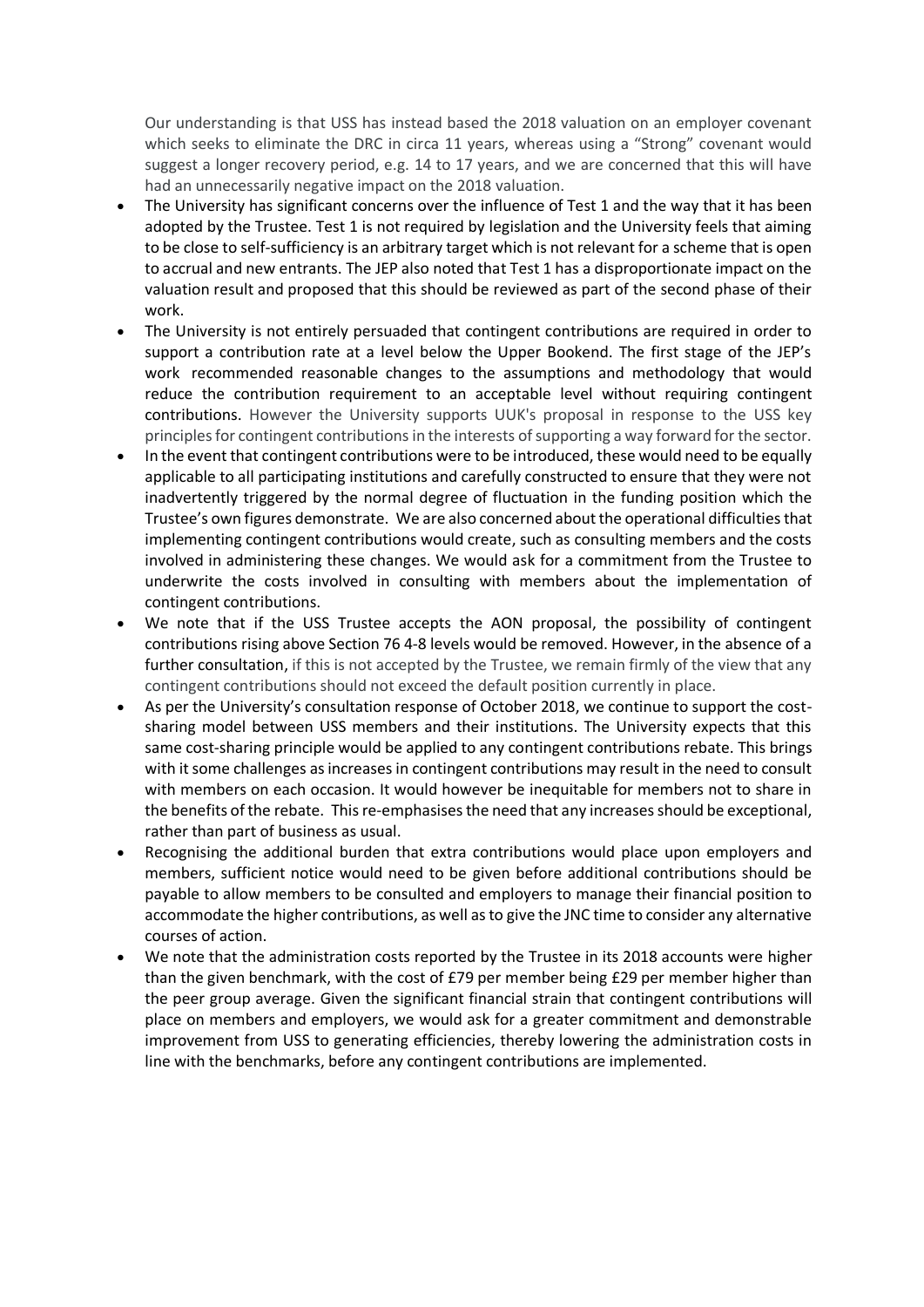Our understanding is that USS has instead based the 2018 valuation on an employer covenant which seeks to eliminate the DRC in circa 11 years, whereas using a "Strong" covenant would suggest a longer recovery period, e.g. 14 to 17 years, and we are concerned that this will have had an unnecessarily negative impact on the 2018 valuation.

- The University has significant concerns over the influence of Test 1 and the way that it has been adopted by the Trustee. Test 1 is not required by legislation and the University feels that aiming to be close to self-sufficiency is an arbitrary target which is not relevant for a scheme that is open to accrual and new entrants. The JEP also noted that Test 1 has a disproportionate impact on the valuation result and proposed that this should be reviewed as part of the second phase of their work.
- The University is not entirely persuaded that contingent contributions are required in order to support a contribution rate at a level below the Upper Bookend. The first stage of the JEP's work recommended reasonable changes to the assumptions and methodology that would reduce the contribution requirement to an acceptable level without requiring contingent contributions. However the University supports UUK's proposal in response to the USS key principles for contingent contributions in the interests of supporting a way forward for the sector.
- In the event that contingent contributions were to be introduced, these would need to be equally applicable to all participating institutions and carefully constructed to ensure that they were not inadvertently triggered by the normal degree of fluctuation in the funding position which the Trustee's own figures demonstrate. We are also concerned about the operational difficulties that implementing contingent contributions would create, such as consulting members and the costs involved in administering these changes. We would ask for a commitment from the Trustee to underwrite the costs involved in consulting with members about the implementation of contingent contributions.
- We note that if the USS Trustee accepts the AON proposal, the possibility of contingent contributions rising above Section 76 4-8 levels would be removed. However, in the absence of a further consultation, if this is not accepted by the Trustee, we remain firmly of the view that any contingent contributions should not exceed the default position currently in place.
- As per the University's consultation response of October 2018, we continue to support the costsharing model between USS members and their institutions. The University expects that this same cost-sharing principle would be applied to any contingent contributions rebate. This brings with it some challenges as increases in contingent contributions may result in the need to consult with members on each occasion. It would however be inequitable for members not to share in the benefits of the rebate. This re-emphasises the need that any increases should be exceptional, rather than part of business as usual.
- Recognising the additional burden that extra contributions would place upon employers and members, sufficient notice would need to be given before additional contributions should be payable to allow members to be consulted and employers to manage their financial position to accommodate the higher contributions, as well as to give the JNC time to consider any alternative courses of action.
- We note that the administration costs reported by the Trustee in its 2018 accounts were higher than the given benchmark, with the cost of £79 per member being £29 per member higher than the peer group average. Given the significant financial strain that contingent contributions will place on members and employers, we would ask for a greater commitment and demonstrable improvement from USS to generating efficiencies, thereby lowering the administration costs in line with the benchmarks, before any contingent contributions are implemented.